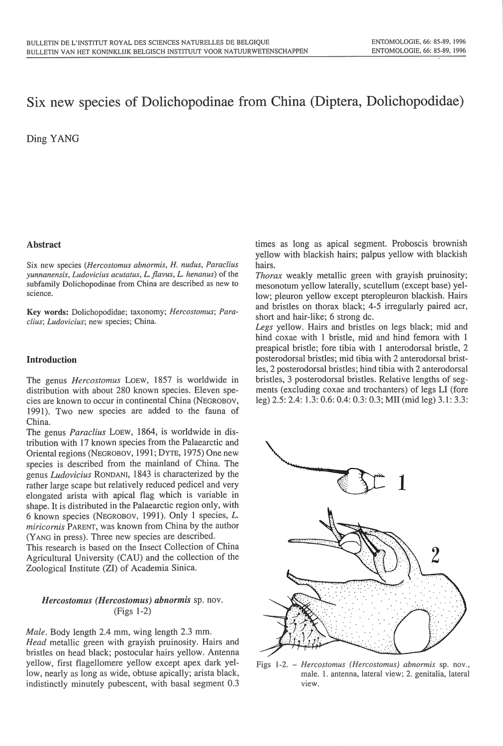# Six new species of Dolichopodinae from China (Diptera, Dolichopodidae)

Ding YANG

# Abstract

Six new species *(Hercostomus abnormis,* H. *nudus, Paraclius <sup>y</sup>unnanensis, Ludovicius acutatus, L. flav us, L. henan us)* of the subfamily Dolichopodinae from China are described as new to science.

Key words: Dolichopodidae; taxonomy; *Hercostomus*; Para*clius; Ludo vicius;* new species; China.

# Introduction

The genus *Hercostomus* LOEW, 1857 is worldwide in distribution with about 280 known species. Eleven species are known to occur in continental China (NEGROBOV, 1991). Two new species are added to the fauna of China.

The genus *Paraclius* LoEw, 1864, is worldwide in distribution with 17 known species from the Palaearctic and Oriental regions (NEGROBOV, 1991; DYTE, 1975) One new species is described from the mainland of China. The genus *Ludovicius* RONDANI, 1843 is characterized by the rather large scape but relatively reduced pedicel and very elongated arista with apical flag which is variable in shape. It is distributed in the Palaearctic region only, with 6 known species (NEGROBOV, 1991). Only 1 species, L. *miricornis* PARENT, was known from China by the author (YANG in press). Three new species are described.

This research is based on the Insect Collection of China Agricultural University (CAU) and the collection of the Zoological Institute (ZI) of Academia Sinica.

# *Hercostomus (Hercostomus) abnormis* sp. nov. (Figs 1-2)

*Male.* Body length 2.4 mm, <sup>w</sup>ing length 2.3 mm. *Head* metallic green with grayish pruinosity. Hairs and bristles on head black; postocular hairs yellow. Antenna yellow, first flagellomere yellow except apex dark yellow, nearly as long as wide, obtuse apically; arista black, indistinctly minutely pubescent, with basal segment 0.3

times as long as <sup>a</sup>pical segment. Proboscis brownish yellow with blackish hairs; palpus yellow with blackish hairs.

*Thorax* weakly metallic green with grayish pruinosity; mesonotum yellow laterally, scutellum (except base) yellow; pleuron yellow except pteropleuron blackish. Hairs and bristles on thorax black; 4-5 irregularly paired acr, short and hair-like; 6 strong dc.

*Legs* yellow. Hairs and bristles on legs black; mid and hind coxae with 1 bristle, mid and hind femora with 1 preapical bristle; fore tibia with 1 anterodorsal bristle, 2 posterodorsal bristles; mid tibia with 2 anterodorsal bristles, 2 posterodorsal bristles; hind tibia with 2 anterodorsal bristles, 3 posterodorsal bristles. Relative lengths of segments (excluding coxae and trochanters) of legs LI (fore leg) 2.5 : 2.4: 1.3: 0.6: 0.4: 0.3: 0.3; Mil (mid leg) 3. 1: 3.3:



Figs 1-2. - *Hercostomus (Hercostomus) abnormis* sp. nov. , male. 1. antenna, lateral view; 2. genitalia, lateral view.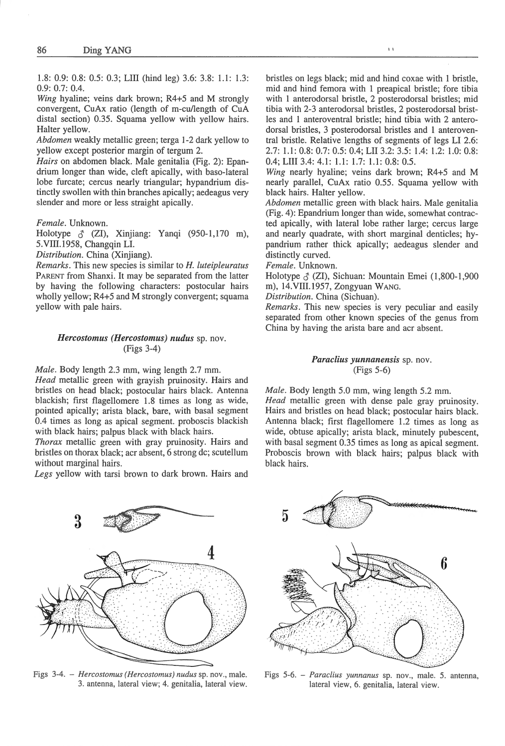1.8: 0.9: 0.8: 0.5: 0.3; Lill (hind leg) 3.6: 3.8: 1.1: 1.3: 0.9: 0.7: 0.4.

*Wing* hyaline; veins dark brown; R4+5 and M strongly convergent, CuAx ratio (length of m-cu/Jength of CuA distal section) 0.35. Squama yellow with yellow hairs. Halter yellow.

*Abdomen* weakly metallic green; terga 1-2 dark yellow to yellow except posterior margin of tergum 2.

*Hairs* on abdomen black. Male genitalia (Fig. 2): Epandrium longer than wide, cleft apically, with baso-Iateral lobe furcate; cercus nearly triangular; hypandrium distinctly swollen with thin branches apically; aedeagus very slender and more or less straight apically.

*Female.* Unknown.

Holotype  $\delta$  (ZI), Xinjiang: Yanqi (950-1,170 m), 5.Vill.1958, Changqin LI.

*Distribution.* China (Xinjiang).

*Remarks.* This new species is similar to *H. luteipleuratus*  PARENT from Shanxi. It may be separated from the latter by having the following characters: postocular hairs wholly yellow; R4+5 and M strongly convergent; squama yellow with pale hairs.

### *Hercostomus (Hercostomus) nudus* sp. nov. (Figs 3-4)

*Male.* Body length 2.3 mm, wing length 2.7 mm.

*Head* metallic green with grayish pruinosity. Hairs and bristles on head black; postocular hairs black. Antenna blackish; first flagellomere 1.8 times as long as wide, pointed apically; arista black, bare, with basal segment 0.4 times as long as apical segment. proboscis blackish with black hairs; palpus black with black hairs.

*Thorax* metallic green with gray pruinosity. Hairs and bristles on thorax black; acr absent, 6 strong de; scutellum without marginal hairs.

*Legs* yellow with tarsi brown to dark brown. Hairs and

bristles on legs black; mid and hind coxae with 1 bristle, mid and hind femora with 1 preapical bristle; fore tibia with 1 anterodorsal bristle, 2 posterodorsal bristles; mid tibia with 2-3 anterodorsal bristles, 2 posterodorsal bristles and 1 anteroventral bristle; hind tibia with 2 anterodorsal bristles, 3 posterodorsal bristles and l anteroventral bristle. Relative lengths of segments of legs LI 2.6: 2.7: I. I: 0.8: 0.7: 0.5: 0.4; LII 3.2: 3.5: 1.4: 1.2: 1.0: 0.8: 0.4; Llll 3.4: 4.1: 1.1: 1.7: 1.1: 0.8: 0.5.

*Wing* nearly hyaline; veins dark brown; R4+5 and M nearly parallel, CuAx ratio 0.55. Squama yellow with black hairs. Halter yellow.

*Abdomen* metallic green with black hairs. Male genitalia (Fig. 4): Epandrium longer than wide, somewhat contracted apically, with lateral lobe rather large; cercus large and nearly quadrate, with short marginal denticles; hypandrium rather thick apically; aedeagus slender and distinctly curved.

*Female.* Unknown.

Holotype  $\zeta$  (ZI), Sichuan: Mountain Emei (1,800-1,900 m), l4.VIII.l957, Zongyuan WANG.

*Distribution.* China (Sichuan).

*Remarks.* This new species is very peculiar and easily separated from other known species of the genus from China by having the arista bare and acr absent.

# *Paraclius yunnanensis* sp. nov. (Figs 5-6)

*Male.* Body length 5.0 mm, wing length 5.2 mm.

*Head* metallic green with dense pale gray pruinosity. Hairs and bristles on head black; postocular hairs black. Antenna black; first flagellomere 1.2 times as long as wide, obtuse apically; arista black, minutely pubescent, with basal segment 0.35 times as long as apical segment. Proboscis brown with black hairs; palpus black with black hairs.



Figs 3-4. - *Hercostomus (Hercostomus) nudus* sp. nov., male. 3. antenna, lateral view; 4. genitalia, lateral view.



Figs 5-6. - *Paraclius yunnanus* sp. nov., male. 5. antenna, lateral view, 6. genitalia, lateral view.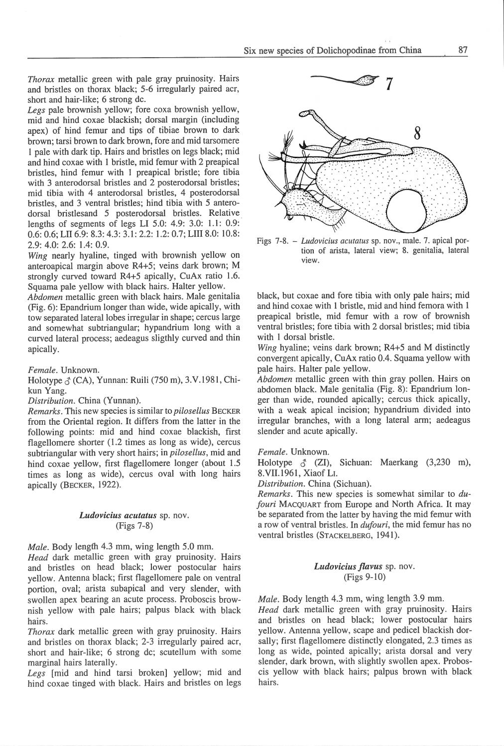*Thorax* metallic green with pale gray pruinosity. Hair<sup>s</sup> and bristles on thorax black; 5-6 irregularly paired acr, short and hair-like; 6 strong de.

*Legs* pale brownish yellow; fore coxa brownish yellow, mid and hind coxae blackish; dorsal margin (including apex) of hind femur and tips of tibiae brown to dar<sup>k</sup> brown; tarsi brown to dark brown, fore and mid tarsomere 1 pale with dark tip. Hairs and bristles on legs black; mid and hind coxae with I bristle, mid femur with 2 preapical bristles, hind femur with 1 preapical bristle; fore tibia with 3 anterodorsal bristles and 2 posterodorsal bristles; mid tibia with 4 anterodorsal bristles, 4 posterodorsal bristles, and 3 ventral bristles; hind tibia with 5 anterodorsal bristlesand 5 posterodorsal bristles. Relative . lengths of segments of legs LI 5.0: 4.9: 3.0: 1.1: 0.9: 0.6: 0.6; LII 6.9: 8.3: 4.3: 3.1: 2.2: 1.2: 0.7; LIII 8.0: 10.8: 2.9: 4.0: 2.6: 1.4: 0.9.

*Wing* nearly hyaline, tinged with brownish yellow on anteroapical margin above R4+5; veins dark brown; M strongly curved toward R4+5 apically, CuAx ratio 1.6. Squama pale yellow with black hairs. Halter yellow.

*Abdomen* metallic green with black hairs. Male genitalia (Fig. 6): Epandrium longer than wide, wide apically, with tow separated lateral lobes irregular in shape; cercus large and somewhat subtrianguiar; hypandrium long with a curved lateral process; aedeagus sligthly curved and thin apically.

*Female.* Unknown.

Holotype  $\hat{\gamma}$  (CA), Yunnan: Ruili (750 m), 3.V.1981, Chikun Yang.

*Distribution.* China (Yunnan).

*Remarks.* This new <sup>s</sup>pecies is simil ar to *pilosellus* BECKER from the Oriental region. It differs from the latter in the following points: mid and hind coxae blackish, first flagellomere shorter (1.2 times as long as wide), cercus subtriangular with very short hairs; in *pilosellus,* mid and hind coxae yellow, first flagellomere longer (about 1.5 times as long as wide), cercus oval with long hairs apically (BECKER, 1922).

# *Ludovicius acutatus* sp. nov. (Figs 7-8)

*Male.* Body length 4.3 mm, wing length 5.0 mm.

*Head* dark metallic green with gray pruinosity. Hairs and bristles on head black; lower postocular hairs yellow. Antenna black; first flagellomere pale on ventral portion, oval; arista subapical and very slender, with swollen apex bearing an acute process. Proboscis brownish yellow with pale hairs; palpus black with black hairs.

*Thorax* dark metallic green with gray pruinosity. Hairs and bristles on thorax black; 2-3 irregularly paired acr, short and hair-like; 6 strong dc; scutellum with some marginal hairs laterally.

*Legs* [mid and hind tarsi broken] yellow; mid and hind coxae tinged with black. Hairs and bristles on legs



I I

Figs 7-8. - *Ludovicius acutatus* sp. nov., male. 7. apical portion of arista, lateral view; 8. genitalia, lateral view.

black, but coxae and fore tibia with only pale hairs; mid and hind coxae with I bristle, mid and hind femora with I preapical bristle, mid femur with a row of brownish ventral bristles; fore tibia with 2 dorsal bristles; mid tibia with l dorsal bristle.

*Wing* hyaline; veins dark brown; R4+5 and M distinctly convergent apically, CuAx ratio 0.4. Squama yellow with pale hairs. Halter pale yellow.

*Abdomen* metallic green with thin gray pollen. Hairs on abdomen black. Male genitalia (Fig. 8): Epandrium longer than wide, rounded apically; cercus thick apically, with a weak apical incision; hypandrium divided into irregular branches, with a long lateral arm; aedeagus slender and acute apically.

*Female.* Unknown.

Holotype  $\delta$  (ZI), Sichuan: Maerkang (3,230 m), 8.VII.1961, Xiaof L1.

*Distribution.* China (Sichuan).

*Remarks.* This new species is somewhat similar to *dufouri* MACQUART from Europe and North Africa. It may be separated from the latter by having the mid femur with a row of ventral bristles. In *dufouri,* the mid femur has no ventral bristles (STACKELBERG, 1941).

# *Ludovicius jlavus* sp. nov. (Figs 9-lO)

*Male.* Body length 4.3 mm, wing length 3.9 mm.

*Head* dark metallic green with gray pruinosity. Hairs and bristles on head black; lower postocular hairs yellow. Antenna yellow, scape and pedicel blackish dorsally; first flagellomere distinctly elongated, 2.3 times as long as wide, pointed apically; arista dorsal and very slender, dark brown, with slightly swollen apex. Proboscis yellow with black hairs; palpus brown with black hairs.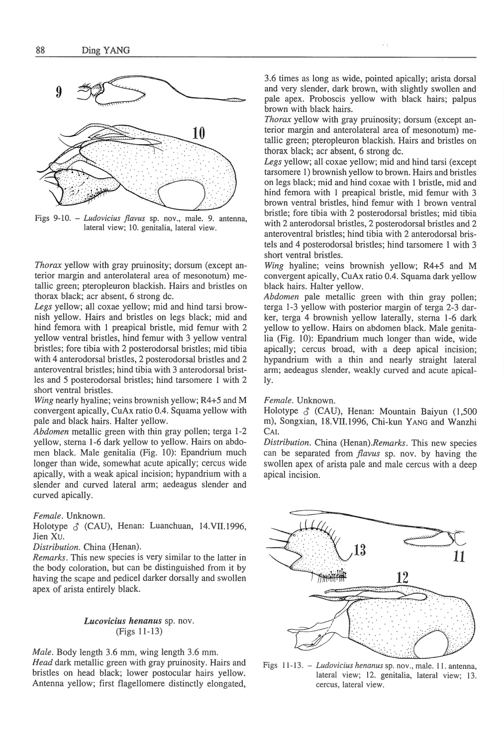

Figs 9-10. - *Ludovicius flavus* sp. nov., male. 9. antenna, lateral view; 10. genitalia, lateral view.

*Thorax* yellow with gray pruinosity; dorsum (except anterior margin and anterolateral area of mesonotum) metallic green; pteropleuron blackish. Hairs and bristles on thorax black; acr absent, 6 strong de.

*Legs* yellow; all coxae yellow; mid and hind tarsi brownish yellow. Hairs and bristles on legs black; mid and hind femora with 1 preapical bristle, mid femur with 2 yellow ventral bristles, hind femur with 3 yellow ventral bristles; fore tibia with 2 posterodorsal bristles; mid tibia with 4 anterodorsal bristles, 2 posterodorsal bristles and 2 anteroventral bristles; hind tibia with 3 anterodorsal bristles and 5 posterodorsal bristles; hind tarsomere **l** with 2 short ventral bristles.

*Wing* nearly hyaline; veins brownish yellow; R4+5 and M convergent apically, CuAx ratio 0.4. Squama yellow with pale and black hairs. Halter yellow.

*Abdomen* metallic green with thin gray pollen; terga 1-2 yellow, sterna 1-6 dark yellow to yellow. Hairs on abdomen black. Male genitalia (Fig. 10): Epandrium much longer than wide, somewhat acute apically; cercus wide apically, with a weak apical incision; hypandrium with a slender and curved lateral arm; aedeagus slender and curved apically.

*Female.* Unknown.

Holotype  $\delta$  (CAU), Henan: Luanchuan, 14.VII.1996, Jien Xu.

*Distribution.* China (Henan).

*Remarks.* This new species is very similar to the latter in the body coloration, but can be distinguished from it by having the scape and pedicel darker dorsally and swollen apex of arista entirely black.

> *Lucovicius henanus* sp. nov. (Figs 11-13)

*Male.* Body length 3.6 mm, wing length 3.6 mm. *Head* dark metallic green with gray pruinosity. Hairs and bristles on head black; lower postocular hairs yellow. Antenna yellow; first flagellomere distinctly elongated,

3.6 times as long as wide, pointed apically; arista do<sup>r</sup>sal and very slender, dark brown, with slightly swollen and pale apex. Proboscis yellow with black hairs; palpus brown with black hairs.

*Thorax* yellow with gray pruinosity; dorsum (except anterior margin and anterolateral area of mesonotum) metallic green; pteropleuron blackish. Hairs and bristles on thorax black; acr absent, 6 strong de.

*Legs* yellow; all coxae yellow; mid and hind tarsi (excep<sup>t</sup> tarsomere **l)** brownish yellow to brown. Hairs and bristles on legs black; mid and hind coxae with **1** bristle, mid and hind femora with l preapical bristle, mid femur with 3 brown ventral bristles, hind femur with 1 brown ventral bristle; fore tibia with 2 posterodorsal bristles; mid tibia with 2 anterodorsal bristles, 2 posterodorsal bristles and 2 anteroventral bristles; hind tibia with 2 anterodorsal bristels and 4 posterodorsal bristles; hind tarsomere **l** with 3 short ventral bristles.

*Wing* hyaline; veins brownish yellow; R4+5 and M co<sup>n</sup>vergent apically, CuAx ratio 0.4. Squama dark yellow black hairs. Halter yellow.

*Abdomen* pale metallic green with thin gray pollen; terga 1-3 yellow with posterior margin of terga 2-3 darker, terga 4 brownish yellow laterally, sterna l-6 dark yellow to yellow. Hairs on abdomen black. Male genitalia (Fig. 10): Epandrium much longer than wide, wide apically; cercus broad, with a deep apical incision; hypandrium with a thin and nearly straight lateral arm; aedeagus slender, weakly curved and acute apically.

#### *Female.* Unknown.

Holotype  $\delta$  (CAU), Henan: Mountain Baiyun (1,500) m), Songxian, 18.VII.l996, Chi-kun YANG and Wanzhi CAI.

*Distribution.* China *(Henan).Remarks.* This new species can be separated from *jlavus* sp. nov. by having the swollen apex of arista pale and male cercus with a deep apical incision.



Figs 11-13. - *Ludovicius henanus* sp. nov., male. 11. antenna, lateral view; 12. genitalia, lateral view; 13. cercus, Lateral view.